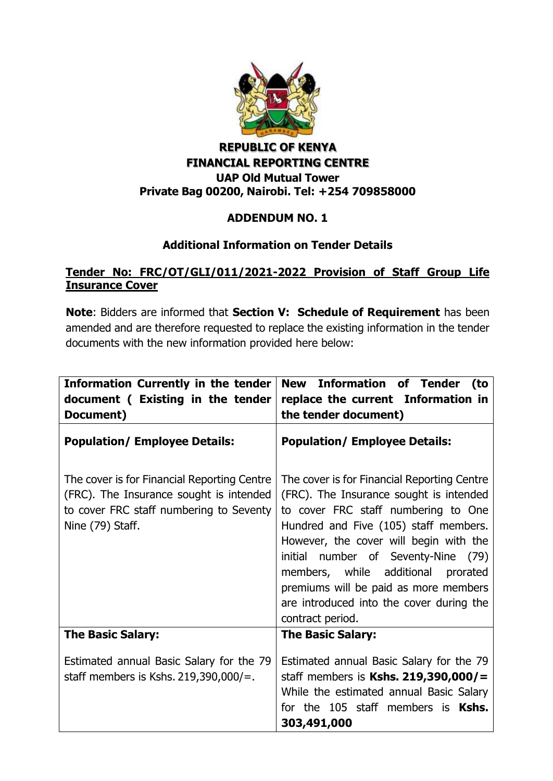

## **REPUBLIC OF KENYA FINANCIAL REPORTING CENTRE UAP Old Mutual Tower Private Bag 00200, Nairobi. Tel: +254 709858000**

## **ADDENDUM NO. 1**

## **Additional Information on Tender Details**

## **Tender No: FRC/OT/GLI/011/2021-2022 Provision of Staff Group Life Insurance Cover**

**Note**: Bidders are informed that **Section V: Schedule of Requirement** has been amended and are therefore requested to replace the existing information in the tender documents with the new information provided here below:

| <b>Information Currently in the tender</b><br>document ( Existing in the tender<br>Document)                                                          | <b>New Information of Tender</b><br>(to<br>replace the current Information in<br>the tender document)                                                                                                                                                                                                                                                                                                     |
|-------------------------------------------------------------------------------------------------------------------------------------------------------|-----------------------------------------------------------------------------------------------------------------------------------------------------------------------------------------------------------------------------------------------------------------------------------------------------------------------------------------------------------------------------------------------------------|
| <b>Population/ Employee Details:</b>                                                                                                                  | <b>Population/ Employee Details:</b>                                                                                                                                                                                                                                                                                                                                                                      |
| The cover is for Financial Reporting Centre<br>(FRC). The Insurance sought is intended<br>to cover FRC staff numbering to Seventy<br>Nine (79) Staff. | The cover is for Financial Reporting Centre<br>(FRC). The Insurance sought is intended<br>to cover FRC staff numbering to One<br>Hundred and Five (105) staff members.<br>However, the cover will begin with the<br>initial number of Seventy-Nine<br>(79)<br>members, while additional prorated<br>premiums will be paid as more members<br>are introduced into the cover during the<br>contract period. |
| <b>The Basic Salary:</b>                                                                                                                              | <b>The Basic Salary:</b>                                                                                                                                                                                                                                                                                                                                                                                  |
| Estimated annual Basic Salary for the 79<br>staff members is Kshs. $219,390,000/$ =.                                                                  | Estimated annual Basic Salary for the 79<br>staff members is Kshs. 219,390,000/=<br>While the estimated annual Basic Salary<br>for the 105 staff members is Kshs.<br>303,491,000                                                                                                                                                                                                                          |